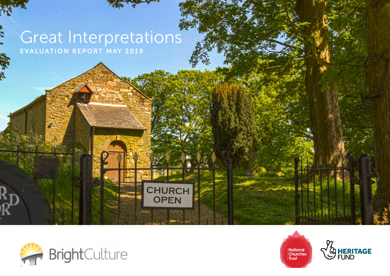# Great Interpretations EVALUATION REPORT MAY 2019

**CHURCH<br>OPEN** 



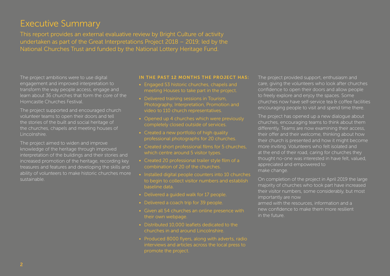### Executive Summary

This report provides an external evaluative review by Bright Culture of activity undertaken as part of the Great Interpretations Project 2018 – 2019; led by the National Churches Trust and funded by the National Lottery Heritage Fund.

The project ambitions were to use digital engagement and improved interpretation to transform the way people access, engage and learn about 36 churches that form the core of the Horncastle Churches Festival.

The project supported and encouraged church volunteer teams to open their doors and tell the stories of the built and social heritage of the churches, chapels and meeting houses of Lincolnshire.

The project aimed to widen and improve knowledge of the heritage through improved interpretation of the buildings and their stories and increased promotion of the heritage, recording key treasures and features and developing the skills and ability of volunteers to make historic churches more sustainable.

#### IN THE PAST 12 MONTHS THE PROJECT HAS:

- Engaged 53 historic churches, chapels and
- Delivered training sessions in Tourism, Photography, Interpretation, Promotion and video to 110 church representatives.
- completely closed outside of services.
- Created a new portfolio of high quality professional photographs for 20 churches.
- which centre around 5 visitor types.
- Created 20 professional trailer style film of a combination of 20 of the churches.
- Installed digital people counters into 10 churches to begin to collect visitor numbers and establish baseline data.
- Delivered a guided walk for 17 people.
- Delivered a coach trip for 39 people.
- their own webpage.
- Distributed 10,000 leaflets dedicated to the churches in and around Lincolnshire.
- Produced 8000 flyers, along with adverts, radio interviews and articles across the local press to

The project provided support, enthusiasm and care, giving the volunteers who look after churches confidence to open their doors and allow people to freely explore and enjoy the spaces. Some churches now have self-service tea & coffee facilities encouraging people to visit and spend time there.

The project has opened up a new dialogue about churches, encouraging teams to think about them differently. Teams are now examining their access, their offer and their welcome, thinking about how their church is presented and how it might become more inviting. Volunteers who felt isolated and at the end of their road, caring for churches they thought no-one was interested in have felt, valued, appreciated and empowered to make change.

On completion of the project in April 2019 the large majority of churches who took part have increased their visitor numbers, some considerably, but most importantly are now

armed with the resources, information and a new confidence to make them more resilient in the future.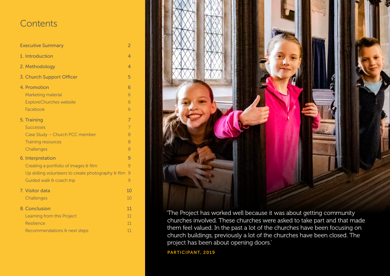### **Contents**

| <b>Executive Summary</b>                            | $\overline{2}$ |
|-----------------------------------------------------|----------------|
| 1. Introduction                                     | 4              |
| 2. Methodology                                      | 4              |
| 3. Church Support Officer                           | 5              |
| 4. Promotion                                        | 6              |
| Marketing material                                  | 6              |
| <b>ExploreChurches website</b>                      | 6              |
| Facebook                                            | 6              |
| 5. Training                                         | 7              |
| <b>Successes</b>                                    | 7              |
| Case Study - Church PCC member                      | 8              |
| <b>Training resources</b>                           | 8              |
| Challenges                                          | 8              |
| 6. Interpretation                                   | 9              |
| Creating a portfolio of images & film               | 9              |
| Up skilling volunteers to create photography & film | 9              |
| Guided walk & coach trip                            | 9              |
| 7. Visitor data                                     | 10             |
| Challenges                                          | 10             |
| 8. Conclusion                                       | 11             |
| Learning from this Project                          | 11             |
| Resilience                                          | 11             |
| Recommendations & next steps                        | 11             |



'The Project has worked well because it was about getting community churches involved. These churches were asked to take part and that made them feel valued. In the past a lot of the churches have been focusing on church buildings, previously a lot of the churches have been closed. The project has been about opening doors.'

PARTICIPANT, 2019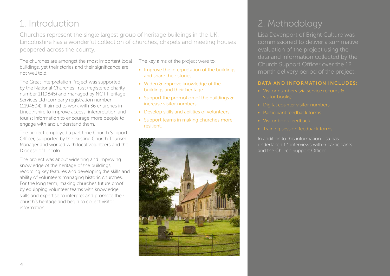## 1. Introduction

Churches represent the single largest group of heritage buildings in the UK. Lincolnshire has a wonderful collection of churches, chapels and meeting houses peppered across the county.

The churches are amongst the most important local buildings, yet their stories and their significance are not well told.

The Great Interpretation Project was supported by the National Churches Trust (registered charity number 1119845) and managed by NCT Heritage Services Ltd (company registration number 11194504). It aimed to work with 36 churches in Lincolnshire to improve access, interpretation and tourist information to encourage more people to engage with and understand them.

The project employed a part time Church Support Officer, supported by the existing Church Tourism Manager and worked with local volunteers and the Diocese of Lincoln.

The project was about widening and improving knowledge of the heritage of the buildings, recording key features and developing the skills and ability of volunteers managing historic churches. For the long term, making churches future proof by equipping volunteer teams with knowledge, skills and expertise to interpret and promote their church's heritage and begin to collect visitor information.

The key aims of the project were to:

- Improve the interpretation of the buildings and share their stories.
- Widen & improve knowledge of the buildings and their heritage.
- Support the promotion of the buildings & increase visitor numbers.
- Develop skills and abilities of volunteers.
- Support teams in making churches more resilient.



## 2. Methodology

Lisa Davenport of Bright Culture was commissioned to deliver a summative Church Support Officer over the 12

#### DATA AND INFORMATION INCLUDES:

- Visitor numbers (via service records & visitor books)
- Digital counter visitor numbers
- Participant feedback forms
- Visitor book feedback
- 

In addition to this information Lisa has undertaken 1:1 interviews with 6 participants and the Church Support Officer.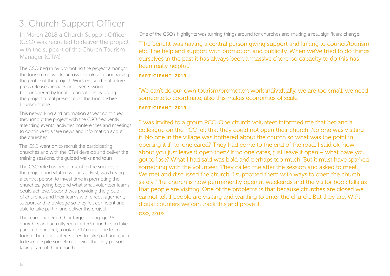### 3. Church Support Officer

In March 2018 a Church Support Officer (CSO) was recruited to deliver the project with the support of the Church Tourism Manager (CTM).

The CSO began by promoting the project amongst the tourism networks across Lincolnshire and raising the profile of the project. Work ensured that future press releases, images and events would be considered by local organisations by giving the project a real presence on the Lincolnshire Tourism scene.

This networking and promotion aspect continued throughout the project with the CSO frequently attending events, activities conferences and meetings to continue to share news and information about the churches.

The CSO went on to recruit the participating churches and with the CTM develop and deliver the training sessions, the guided walks and tours.

The CSO role has been crucial to the success of the project and vital in two areas. First, was having a central person to invest time in promoting the churches, going beyond what small volunteer teams could achieve. Second was providing the group of churches and their teams with encouragement, support and knowledge so they felt confident and able to take part in and deliver the project.

The team exceeded their target to engage 36 churches and actually recruited 53 churches to take part in the project, a notable 17 more. The team found church volunteers keen to take part and eager to learn despite sometimes being the only person taking care of their church.

One of the CSO's highlights was turning things around for churches and making a real, significant change:

'The benefit was having a central person giving support and linking to council/tourism etc. The help and support with promotion and publicity. When we've tried to do things ourselves in the past it has always been a massive chore, so capacity to do this has been really helpful.'

#### PARTICIPANT, 2019

'We can't do our own tourism/promotion work individually, we are too small, we need someone to coordinate, also this makes economies of scale.'

#### PARTICIPANT, 2019

'I was invited to a group PCC. One church volunteer informed me that her and a colleague on the PCC felt that they could not open their church. No one was visiting it. No one in the village was bothered about the church so what was the point in opening it if no-one cared? They had come to the end of the road. I said ok, how about you just leave it open then? If no one cares, just leave it open – what have you got to lose? What I had said was bold and perhaps too much. But it must have sparked something with the volunteer. They called me after the session and asked to meet. We met and discussed the church. I supported them with ways to open the church safely. The church is now permanently open at weekends and the visitor book tells us that people are visiting. One of the problems is that because churches are closed we cannot tell if people are visiting and wanting to enter the church. But they are. With digital counters we can track this and prove it.'

#### CSO, 2019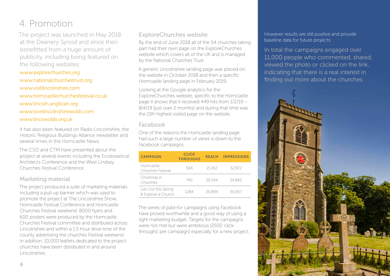## 4. Promotion

The project was launched in May 2018 at the Deanery Synod and since then benefitted from a huge amount of publicity, including being featured on the following websites:

www.explorechurches.org www.nationalchurchestrust.org www.visitlincolnshire.com www.horncastlechurchesfestival.co.uk www.lincoln.anglican.org www.lovelincolnshirewolds.com www.lincswolds.org.uk

It has also been featured on Radio Lincolnshire, the Historic Religious Buildings Alliance newsletter and several times in the Horncastle News.

The CSO and CTM have presented about the project at several events including the Ecclesiastical Architects Conference and the West Lindsey Churches Festival Conference.

#### Marketing material

The project produced a suite of marketing materials including a pull-up banner which was used to promote the project at The Lincolnshire Show, Horncastle Festival Conference and Horncastle Churches Festival weekend. 8000 flyers and 600 posters were produced by the Horncastle Churches Festival committee and distributed across Lincolnshire and within a 1.5 hour drive time of the county advertising the churches Festival weekend. In addition, 10,000 leaflets dedicated to the project churches have been distributed in and around Lincolnshire.

#### ExploreChurches website

By the end of June 2018 all of the 54 churches taking part had their own page on the ExploreChurches website which covers all of the UK and is managed by the National Churches Trust.

A generic Lincolnshire landing page was placed on the website in October 2018 and then a specific Horncastle landing page in February 2019.

Looking at the Google analytics for the ExploreChurches website, specific to the Horncastle page it shows that it received 449 hits from 1/2/19 – 8/4/19 (just over 2 months) and during that time was the 11th highest visited page on the website.

#### Facebook

One of the reasons the Horncastle landing page had such a large number of views is down to the Facebook campaigns.

| <b>CAMPAIGN</b>                           | <b>CLICK</b><br><b>THROUGHS</b> | <b>REACH</b> | <b>IMPRESSIONS</b> |
|-------------------------------------------|---------------------------------|--------------|--------------------|
| Horncastle<br>Churches Festival           | 564                             | 21.412       | 32.872             |
| Christmas in<br>Churches                  | 740                             | 16.544       | 24.865             |
| Get Out this Spring<br>& Explore a Church | 1284                            | 26.894       | 55,567             |

The series of paid-for campaigns using Facebook have proved worthwhile and a good way of using a tight marketing budget. Targets for the campaigns were not met but were ambitious (2500 'clickthroughs' per campaign) especially for a new project. However results are still positive and provide baseline data for future projects:

In total the campaigns engaged over 11,000 people who commented, shared, viewed the photo or clicked on the link, indicating that there is a real interest in finding out more about the churches.

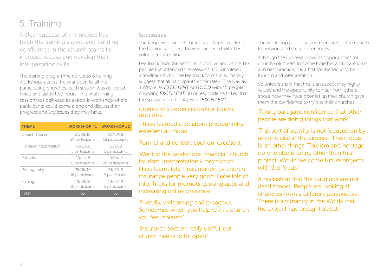# 5. Training

A clear success of the project has been the training aspect and building confidence in the church teams to increase access and develop their interpretation skills.

The training programme delivered 6 training workshops across the year open to all the participating churches, each session was delivered twice and lasted two hours. The final Filming session was delivered as a drop-in workshop where participants could come along and discuss their progress and any issues they may have.

| <b>THEME</b>            | <b>WORKSHOP #1</b>          | <b>WORKSHOP#2</b>           |
|-------------------------|-----------------------------|-----------------------------|
| Church Tourism          | 21/08/18<br>24 participants | 29/10/18<br>18 participants |
| Heritage Interpretation | 26/11/18<br>5 participants  | 12/2/19<br>5 participants   |
| Publicity               | 20/11/18<br>8 participants  | 19/04/19<br>20 participants |
| Photography             | 28/08/18<br>16 participants | 24/02/19<br>7 participants  |
| Filming                 | 19/09/18<br>10 participants | 19/02/19<br>5 participants  |
| Total                   | 63                          | 55                          |

#### **Successes**

The target was for 108 church volunteers to attend the training sessions; this was exceeded with 118 volunteers attending.

Feedback from the sessions is positive and of the 118 people that attended the sessions, 65 completed a feedback form. The feedback forms in summary suggest that all participants either rated 'The Day as a Whole' as *EXCELLENT* or *GOOD* with 45 people choosing *EXCELLENT*. 56 of respondents ticked that the speakers on the day were *EXCELLENT*.

#### COMMENTS FROM FEEDBACK FORMS INCLUDE:

#### 'I have learned a lot about photography, excellent all round.

'Format and content spot on, excellent.'

'Went to the workshops, financial, church tourism, interpretation & promotion. Have learnt lots. Presentation by church insurance people very good. Gave lots of info. Tricks for promoting, using apps and increasing online presence.'

'Friendly, welcoming and proactive. Sometimes when you help with a church you feel isolated.'

'Insurance section really useful, our church needs to be open.'

The workshops also enabled members of the church to network and share experiences.

Although the Diocese provides opportunities for church volunteers to come together and share ideas and best practice, it is a first for the focus to be on tourism and interpretation.

Volunteers share that this is an aspect they highly valued and the opportunity to hear from others about how they have opened up their church gave them the confidence to try it at their churches.

#### 'Taking part gave confidence that other people are doing things that work.'

'This sort of activity is not focused on by anyone else in the diocese. Their focus is on other things. Tourism and heritage no one else is doing other than this project. Would welcome future projects with this focus.'

'A realisation that the buildings are not dead spaces. People are looking at churches from a different perspective. There is a vibrancy in the Wolds that the project has brought about.'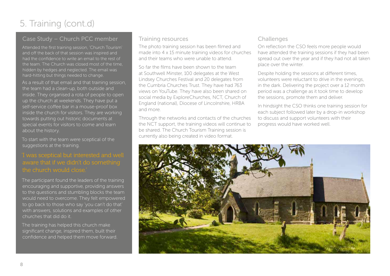# 5. Training (cont.d)

### Case Study – Church PCC member

Attended the first training session, 'Church Tourism' and off the back of that session was inspired and had the confidence to write an email to the rest of the team. The Church was closed most of the time, hidden by hedges and neglected. The email was hard-hitting but things needed to change.

As a result of that email and that training session, the team had a clean-up, both outside and inside. They organised a rota of people to open up the church at weekends. They have put a self-service coffee bar in a mouse-proof box inside the church for visitors. They are working towards putting out historic documents at special events for visitors to come and learn about the history.

To start with the team were sceptical of the suggestions at the training.

The participant found the leaders of the training encouraging and supportive, providing answers to the questions and stumbling blocks the team would need to overcome. They felt empowered to go back to those who say 'you can't do that' with answers, solutions and examples of other churches that did do it.

The training has helped this church make significant change, inspired them, built their confidence and helped them move forward.

#### Training resources

The photo training session has been filmed and made into 4 x 15 minute training videos for churches and their teams who were unable to attend.

So far the films have been shown to the team at Southwell Minster, 100 delegates at the West Lindsey Churches Festival and 20 delegates from the Cumbria Churches Trust. They have had 763 views on YouTube. They have also been shared on social media by ExploreChurches, NCT, Church of England (national), Diocese of Lincolnshire, HRBA and more.

Through the networks and contacts of the churches the NCT support, the training videos will continue to be shared. The Church Tourism Training session is currently also being created in video format.

#### **Challenges**

On reflection the CSO feels more people would have attended the training sessions if they had been spread out over the year and if they had not all taken place over the winter.

Despite holding the sessions at different times, volunteers were reluctant to drive in the evenings, in the dark. Delivering the project over a 12 month period was a challenge as it took time to develop the sessions, promote them and deliver.

In hindsight the CSO thinks one training session for each subject followed later by a drop-in workshop to discuss and support volunteers with their progress would have worked well.

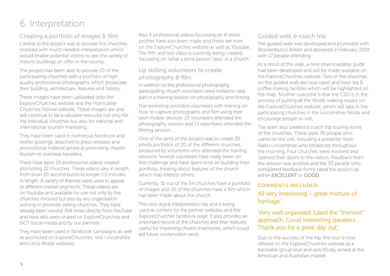## 6. Interpretation

Creating a portfolio of images & film

Central to the project was to provide the churches involved with much needed interpretation which would enable potential visitors to see the variety of historic buildings on offer in the county.

The project has been able to provide 20 of the participating churches with a portfolio of high quality professional photographs which showcase their building, architecture, features and history.

These images have been uploaded onto the ExploreChurches website and the Horncastle Churches Festival website. These images are and will continue to be a valuable resource not only for the individual churches but also for national and international tourism marketing.

They have been used in numerous facebook and twitter postings, attached to press releases and promotional material aimed at promoting church tourism to overseas travellers.

There have been 20 professional videos created promoting 22 churches. These videos vary in length from short 20 second bursts to longer 1-2 minutes in length. A variety of themes were used to appeal to different market segments. These videos are on Youtube and available for use not only by the churches involved but also by any organisation wishing to promote visiting churches. They have already been viewed 358 times directly from YouTube and have also been shared on ExploreChurches and NCT social media and by our partners.

They have been used in facebook campaigns as well as promoted on ExploreChurches, Visit Lincolnshire and Lincs Wolds websites.

Also 4 professional videos focussing on 4 visitor profiles have also been made and these are now on the ExploreChurches website as well as Youtube. The fifth and last video is currently being created, focussing on 'what a blind person 'sees' in a church.'

#### Up skilling volunteers to create photography & film

In addition to the professional photography, participating church volunteers were invited to take part in a training session on photography and filming.

The workshop provided volunteers with training on how to capture photographs and film using their own mobile devices. 23 volunteers attended the photography session and 15 volunteers attended the filming session.

One of the aims of the project was to create 20 photo portfolios of 20 of the different churches, produced by volunteers who attended the training sessions. Several volunteers have really taken on this challenge and have spent time on building their portfolio, thinking about features of the church which may interest others.

Currently, 31 out of the 54 churches have a portfolio of images and 20 of the churches have a film which has been made about the church.

This new digital interpretation has and is being used as content for the partner websites and the ExploreChurches facebook page. It also provides an important record of the churches and their features useful for improving church inventories, which could aid future conservation work.

#### Guided walk & coach trip

The guided walk was developed and promoted with Brackenbury's Britain and delivered in February 2019 with 17 people attending.

As a result of the walk, a new downloadable guide had been developed and will be made available on the ExploreChurches website. Two of the churches on the guided walk are now open and have tea & coffee making facilities which will be highlighted on the map. Another outcome is that the CSO is in the process of putting all the Wolds walking routes on the ExploreChurches website, which will take in the participating churches in the Lincolnshire Wolds and encourage people to visit.

The team also created a coach trip touring some of the churches. There were 39 people who came on the visit, including a presenter from Radio Lincolnshire who broadcast throughout the morning. Four churches were involved and opened their doors to the visitors. Feedback from the session was positive and the 30 people who completed feedback forms rated the session as either *EXCELLENT* or *GOOD*.

#### COMMENTS INCLUDED:

'All very interesting – great mixture of heritage.'

#### 'Very well organised. Liked the "themed" approach. Good interesting speakers. Thank you for a great day out.

Due to the success of the trip, the tour is now offered on the ExploreChurches website as a bookable group tour and specifically aimed at the American and Australian market.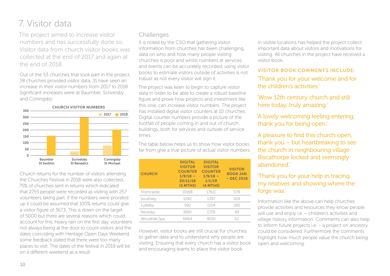### 7. Visitor data

The project aimed to increase visitor numbers and has successfully done so. Visitor data from church visitor books was collected at the end of 2017 and again at the end of 2018.

Out of the 53 churches that took part in the project, 38 churches provided visitor data, 31 have seen an increase in their visitor numbers from 2017 to 2018. Significant increases were at Baumber, Scrivelsby and Coningsby:



Church returns for the number of visitors attending the Churches Festival in 2018 were also collected, 75% of churches sent in returns which indicated that 2755 people were recorded as visiting with 257 volunteers taking part. If the numbers were prorated up it could be assumed that 100% returns could give a visitor figure of 3673. This is down on the target of 5000 but there are several reasons which could account for this, heavy rain on the first day, volunteers not always being at the door to count visitors and the dates coinciding with Heritage Open Days Weekend, some feedback stated that there were too many places to visit. The dates of the festival in 2019 will be on a different weekend as a result.

#### **Challenges**

It is noted by the CSO that gathering visitor information from churches has been challenging, data on who and how many people visiting churches is poor and whilst numbers at services and events can be accurately recorded, using visitor books to estimate visitors outside of activities is not robust as not every visitor will sign it.

The project was keen to begin to capture visitor data in order to be able to create a robust baseline figure and prove how projects and investment like this one, can increase visitor numbers. The project has installed digital visitor counters at 10 churches. Digital counter numbers provide a picture of the footfall of people coming in and out of church buildings, both for services and outside of service times.

The table below helps us to show how visitor books far from give a true picture of actual visitor numbers:

| <b>CHURCH</b> | <b>DIGITAL</b><br><b>VISITOR</b><br><b>COUNTER</b><br>$1/9/18 -$<br>30/11/18<br>$(3$ MTHS) | <b>DIGITAL</b><br><b>VISITOR</b><br><b>COUNTER</b><br>$1/9/18 -$<br>1/1/19<br>$(4$ MTHS) | <b>VISITOR</b><br><b>BOOK JAN</b><br>$-$ DEC 2018 |
|---------------|--------------------------------------------------------------------------------------------|------------------------------------------------------------------------------------------|---------------------------------------------------|
| Horncastle    | 10168                                                                                      | 17611                                                                                    | 378                                               |
| Southrey      | 1282                                                                                       | 1397                                                                                     | 104                                               |
| Fulletby      | 992                                                                                        | 1154                                                                                     | 285                                               |
| Revesby       | 1690                                                                                       | 1729                                                                                     | 49                                                |
| Woodhall Spa  | 6664                                                                                       | 9019                                                                                     | 52                                                |

However, visitor books are still crucial for churches to gather data and to understand why people are visiting. Ensuring that every church has a visitor book and encouraging teams to place the visitor book

in visible locations has helped the project collect important data about visitors and motivations for visiting. All churches in the project have received a visitor book.

#### VISITOR BOOK COMMENTS INCLUDE:

#### 'Thank you for your welcome and for the children's activities.'

'Wow 12th century church and still here today, truly amazing.'

'A lovely welcoming feeling entering, thank you for being open.'

A pleasure to find this church open, thank you – but heartbreaking to see the church in neighbouring village Biscathorpe locked and seemingly abandoned.'

#### 'Thank you for your help in tracing my relatives and showing where the forge was.'

Information like the above can help churches provide activities and resources they know people will use and enjoy i.e. – children's activities and village history information. Comments can also help to inform future projects i.e. – a project on ancestry could be considered. Furthermore the comments highlight how much people value the church being open and welcoming.